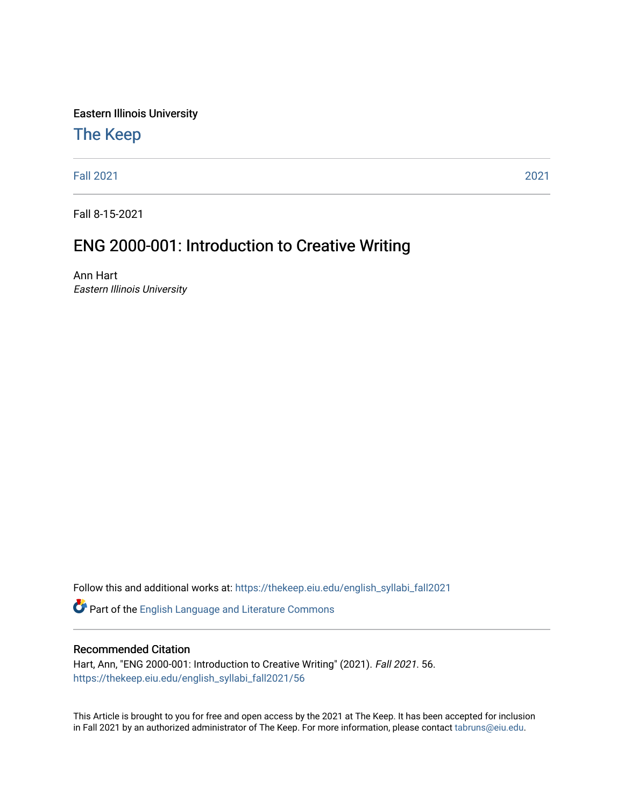Eastern Illinois University

## [The Keep](https://thekeep.eiu.edu/)

[Fall 2021](https://thekeep.eiu.edu/english_syllabi_fall2021) [2021](https://thekeep.eiu.edu/english_syllabi2021) 

Fall 8-15-2021

# ENG 2000-001: Introduction to Creative Writing

Ann Hart Eastern Illinois University

Follow this and additional works at: [https://thekeep.eiu.edu/english\\_syllabi\\_fall2021](https://thekeep.eiu.edu/english_syllabi_fall2021?utm_source=thekeep.eiu.edu%2Fenglish_syllabi_fall2021%2F56&utm_medium=PDF&utm_campaign=PDFCoverPages) 

Part of the [English Language and Literature Commons](http://network.bepress.com/hgg/discipline/455?utm_source=thekeep.eiu.edu%2Fenglish_syllabi_fall2021%2F56&utm_medium=PDF&utm_campaign=PDFCoverPages)

#### Recommended Citation

Hart, Ann, "ENG 2000-001: Introduction to Creative Writing" (2021). Fall 2021. 56. [https://thekeep.eiu.edu/english\\_syllabi\\_fall2021/56](https://thekeep.eiu.edu/english_syllabi_fall2021/56?utm_source=thekeep.eiu.edu%2Fenglish_syllabi_fall2021%2F56&utm_medium=PDF&utm_campaign=PDFCoverPages)

This Article is brought to you for free and open access by the 2021 at The Keep. It has been accepted for inclusion in Fall 2021 by an authorized administrator of The Keep. For more information, please contact [tabruns@eiu.edu](mailto:tabruns@eiu.edu).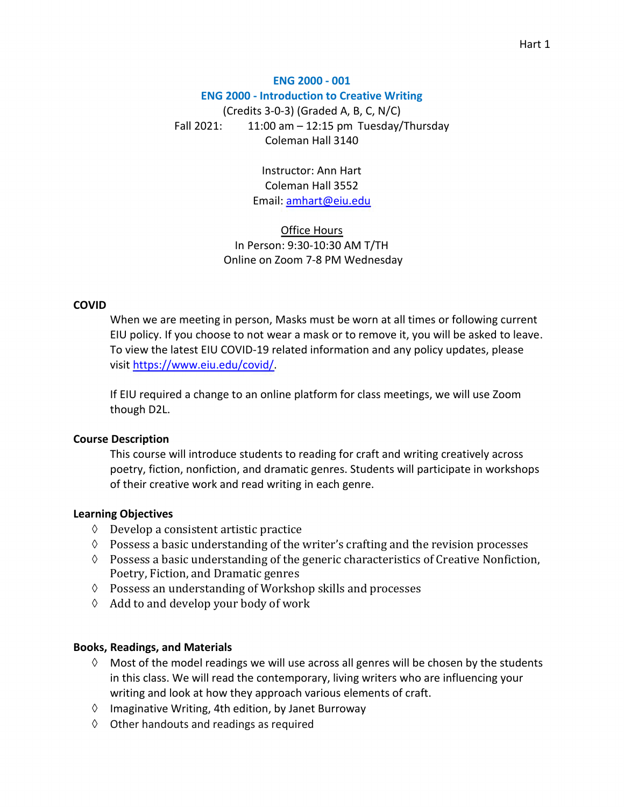## **ENG 2000 - 001 ENG 2000 - Introduction to Creative Writing**  (Credits 3-0-3) (Graded A, B, C, N/C) Fall 2021:  $11:00$  am  $-12:15$  pm Tuesday/Thursday Coleman Hall 3140

Instructor: Ann Hart Coleman Hall 3552 Email: [amhart@eiu.edu](mailto:amhart@eiu.edu)

Office Hours In Person: 9:30-10:30 AM T/TH Online on Zoom 7-8 PM Wednesday

#### **COVID**

When we are meeting in person, Masks must be worn at all times or following current EIU policy. If you choose to not wear a mask or to remove it, you will be asked to leave. To view the latest EIU COVID-19 related information and any policy updates, please visit [https://www.eiu.edu/covid/.](https://www.eiu.edu/covid/)

If EIU required a change to an online platform for class meetings, we will use Zoom though D2L.

#### **Course Description**

This course will introduce students to reading for craft and writing creatively across poetry, fiction, nonfiction, and dramatic genres. Students will participate in workshops of their creative work and read writing in each genre.

#### **Learning Objectives**

- $\Diamond$  Develop a consistent artistic practice
- $\Diamond$  Possess a basic understanding of the writer's crafting and the revision processes
- $\Diamond$  Possess a basic understanding of the generic characteristics of Creative Nonfiction, Poetry, Fiction, and Dramatic genres
- $\Diamond$  Possess an understanding of Workshop skills and processes
- $\Diamond$  Add to and develop your body of work

#### **Books, Readings, and Materials**

- $\Diamond$  Most of the model readings we will use across all genres will be chosen by the students in this class. We will read the contemporary, living writers who are influencing your writing and look at how they approach various elements of craft.
- $\Diamond$  Imaginative Writing, 4th edition, by Janet Burroway
- $\Diamond$  Other handouts and readings as required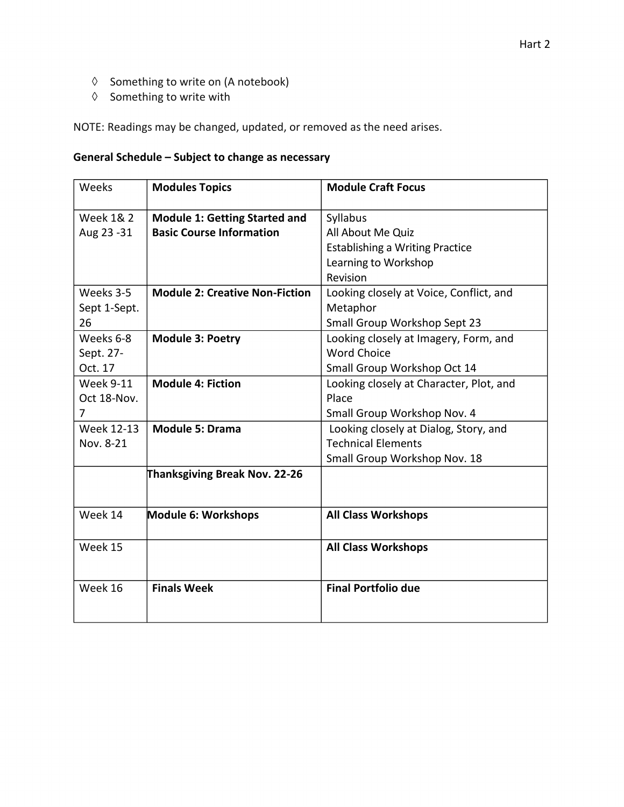- $\Diamond$  Something to write on (A notebook)
- $\Diamond$  Something to write with

NOTE: Readings may be changed, updated, or removed as the need arises.

#### **General Schedule – Subject to change as necessary**

| Weeks                | <b>Modules Topics</b>                 | <b>Module Craft Focus</b>               |  |
|----------------------|---------------------------------------|-----------------------------------------|--|
| <b>Week 1&amp; 2</b> | <b>Module 1: Getting Started and</b>  | Syllabus                                |  |
| Aug 23 - 31          | <b>Basic Course Information</b>       | All About Me Quiz                       |  |
|                      |                                       | <b>Establishing a Writing Practice</b>  |  |
|                      |                                       | Learning to Workshop                    |  |
|                      |                                       | Revision                                |  |
| Weeks 3-5            | <b>Module 2: Creative Non-Fiction</b> | Looking closely at Voice, Conflict, and |  |
| Sept 1-Sept.         |                                       | Metaphor                                |  |
| 26                   |                                       | Small Group Workshop Sept 23            |  |
| Weeks 6-8            | <b>Module 3: Poetry</b>               | Looking closely at Imagery, Form, and   |  |
| Sept. 27-            |                                       | <b>Word Choice</b>                      |  |
| Oct. 17              |                                       | Small Group Workshop Oct 14             |  |
| <b>Week 9-11</b>     | <b>Module 4: Fiction</b>              | Looking closely at Character, Plot, and |  |
| Oct 18-Nov.          |                                       | Place                                   |  |
| 7                    |                                       | Small Group Workshop Nov. 4             |  |
| Week 12-13           | <b>Module 5: Drama</b>                | Looking closely at Dialog, Story, and   |  |
| Nov. 8-21            |                                       | <b>Technical Elements</b>               |  |
|                      |                                       | Small Group Workshop Nov. 18            |  |
|                      | Thanksgiving Break Nov. 22-26         |                                         |  |
| Week 14              | Module 6: Workshops                   | <b>All Class Workshops</b>              |  |
| Week 15              |                                       | <b>All Class Workshops</b>              |  |
| Week 16              | <b>Finals Week</b>                    | <b>Final Portfolio due</b>              |  |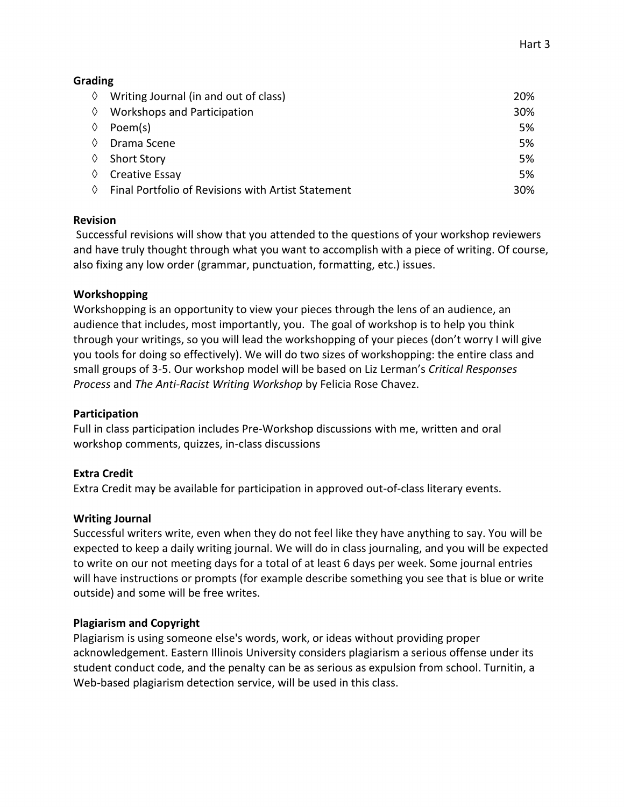## **Grading**

| ♦ | Writing Journal (in and out of class)              | <b>20%</b> |
|---|----------------------------------------------------|------------|
| ♦ | Workshops and Participation                        | 30%        |
| ♦ | Poem(s)                                            | 5%         |
| ♦ | Drama Scene                                        | 5%         |
| ♦ | <b>Short Story</b>                                 | 5%         |
| ♦ | Creative Essay                                     | 5%         |
| ♦ | Final Portfolio of Revisions with Artist Statement | 30%        |

## **Revision**

 Successful revisions will show that you attended to the questions of your workshop reviewers and have truly thought through what you want to accomplish with a piece of writing. Of course, also fixing any low order (grammar, punctuation, formatting, etc.) issues.

## **Workshopping**

Workshopping is an opportunity to view your pieces through the lens of an audience, an audience that includes, most importantly, you. The goal of workshop is to help you think through your writings, so you will lead the workshopping of your pieces (don't worry I will give you tools for doing so effectively). We will do two sizes of workshopping: the entire class and small groups of 3-5. Our workshop model will be based on Liz Lerman's *Critical Responses Process* and *The Anti-Racist Writing Workshop* by Felicia Rose Chavez.

## **Participation**

Full in class participation includes Pre-Workshop discussions with me, written and oral workshop comments, quizzes, in-class discussions

## **Extra Credit**

Extra Credit may be available for participation in approved out-of-class literary events.

## **Writing Journal**

Successful writers write, even when they do not feel like they have anything to say. You will be expected to keep a daily writing journal. We will do in class journaling, and you will be expected to write on our not meeting days for a total of at least 6 days per week. Some journal entries will have instructions or prompts (for example describe something you see that is blue or write outside) and some will be free writes.

## **Plagiarism and Copyright**

Plagiarism is using someone else's words, work, or ideas without providing proper acknowledgement. Eastern Illinois University considers plagiarism a serious offense under its student conduct code, and the penalty can be as serious as expulsion from school. Turnitin, a Web-based plagiarism detection service, will be used in this class.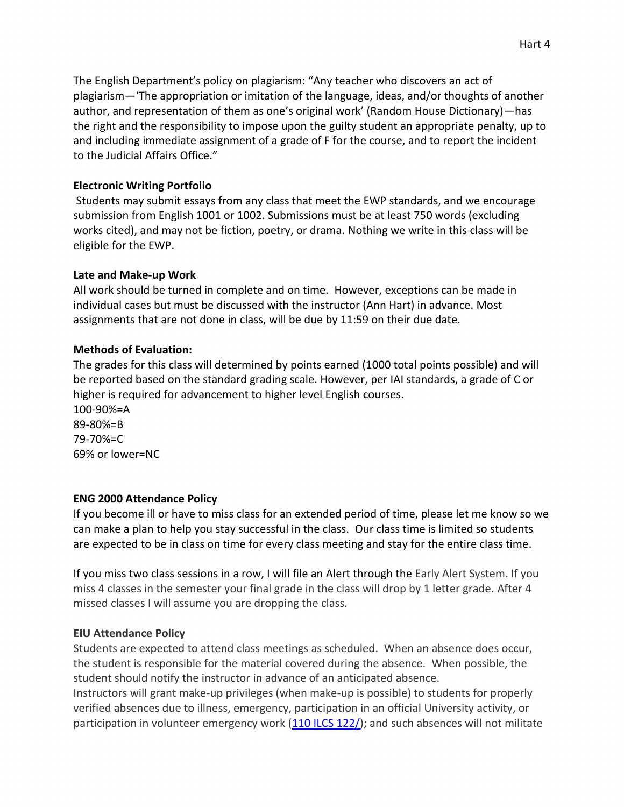The English Department's policy on plagiarism: "Any teacher who discovers an act of plagiarism—'The appropriation or imitation of the language, ideas, and/or thoughts of another author, and representation of them as one's original work' (Random House Dictionary)—has the right and the responsibility to impose upon the guilty student an appropriate penalty, up to and including immediate assignment of a grade of F for the course, and to report the incident to the Judicial Affairs Office."

#### **Electronic Writing Portfolio**

 Students may submit essays from any class that meet the EWP standards, and we encourage submission from English 1001 or 1002. Submissions must be at least 750 words (excluding works cited), and may not be fiction, poetry, or drama. Nothing we write in this class will be eligible for the EWP.

#### **Late and Make-up Work**

All work should be turned in complete and on time. However, exceptions can be made in individual cases but must be discussed with the instructor (Ann Hart) in advance. Most assignments that are not done in class, will be due by 11:59 on their due date.

#### **Methods of Evaluation:**

The grades for this class will determined by points earned (1000 total points possible) and will be reported based on the standard grading scale. However, per IAI standards, a grade of C or higher is required for advancement to higher level English courses.

100-90%=A 89-80%=B 79-70%=C 69% or lower=NC

## **ENG 2000 Attendance Policy**

If you become ill or have to miss class for an extended period of time, please let me know so we can make a plan to help you stay successful in the class. Our class time is limited so students are expected to be in class on time for every class meeting and stay for the entire class time.

If you miss two class sessions in a row, I will file an Alert through the Early Alert System. If you miss 4 classes in the semester your final grade in the class will drop by 1 letter grade. After 4 missed classes I will assume you are dropping the class.

## **EIU Attendance Policy**

Students are expected to attend class meetings as scheduled. When an absence does occur, the student is responsible for the material covered during the absence. When possible, the student should notify the instructor in advance of an anticipated absence. Instructors will grant make-up privileges (when make-up is possible) to students for properly verified absences due to illness, emergency, participation in an official University activity, or participation in volunteer emergency work [\(110 ILCS 122/\)](http://www.ilga.gov/legislation/ilcs/ilcs3.asp?ActID=2803&ChapAct=110%C2%A0ILCS%C2%A0122/&ChapterID=18&ChapterName=HIGHER+EDUCATION&ActName=Volunteer+Emergency+Worker+Higher+Education+Protection+Act.l); and such absences will not militate